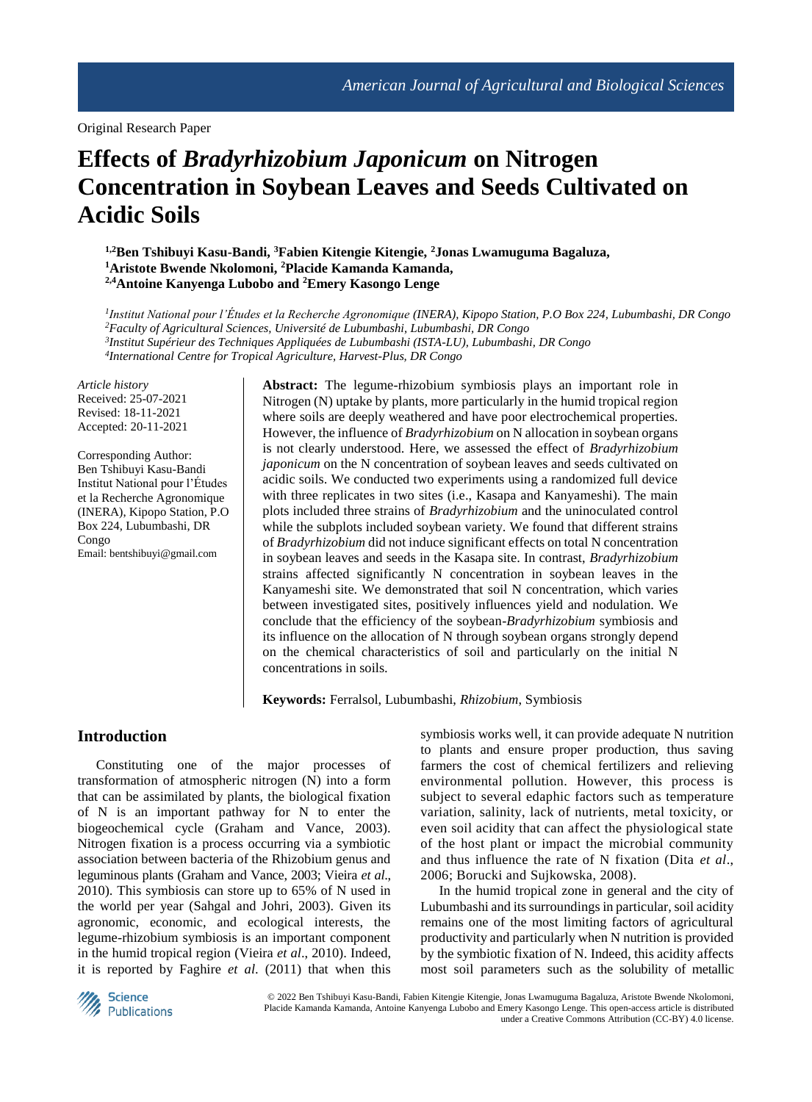Original Research Paper

# **Effects of** *Bradyrhizobium Japonicum* **on Nitrogen Concentration in Soybean Leaves and Seeds Cultivated on Acidic Soils**

**1,2Ben Tshibuyi Kasu-Bandi, <sup>3</sup>Fabien Kitengie Kitengie, <sup>2</sup>Jonas Lwamuguma Bagaluza, <sup>1</sup>Aristote Bwende Nkolomoni, <sup>2</sup>Placide Kamanda Kamanda, 2,4Antoine Kanyenga Lubobo and <sup>2</sup>Emery Kasongo Lenge** 

 *Institut National pour l'Études et la Recherche Agronomique (INERA), Kipopo Station, P.O Box 224, Lubumbashi, DR Congo Faculty of Agricultural Sciences, Université de Lubumbashi, Lubumbashi, DR Congo Institut Supérieur des Techniques Appliquées de Lubumbashi (ISTA-LU), Lubumbashi, DR Congo International Centre for Tropical Agriculture, Harvest-Plus, DR Congo*

*Article history* Received: 25-07-2021 Revised: 18-11-2021 Accepted: 20-11-2021

Corresponding Author: Ben Tshibuyi Kasu-Bandi Institut National pour l'Études et la Recherche Agronomique (INERA), Kipopo Station, P.O Box 224, Lubumbashi, DR Congo Email: bentshibuyi@gmail.com

**Abstract:** The legume-rhizobium symbiosis plays an important role in Nitrogen (N) uptake by plants, more particularly in the humid tropical region where soils are deeply weathered and have poor electrochemical properties. However, the influence of *Bradyrhizobium* on N allocation in soybean organs is not clearly understood. Here, we assessed the effect of *Bradyrhizobium japonicum* on the N concentration of soybean leaves and seeds cultivated on acidic soils. We conducted two experiments using a randomized full device with three replicates in two sites (i.e., Kasapa and Kanyameshi). The main plots included three strains of *Bradyrhizobium* and the uninoculated control while the subplots included soybean variety. We found that different strains of *Bradyrhizobium* did not induce significant effects on total N concentration in soybean leaves and seeds in the Kasapa site. In contrast, *Bradyrhizobium* strains affected significantly N concentration in soybean leaves in the Kanyameshi site. We demonstrated that soil N concentration, which varies between investigated sites, positively influences yield and nodulation. We conclude that the efficiency of the soybean-*Bradyrhizobium* symbiosis and its influence on the allocation of N through soybean organs strongly depend on the chemical characteristics of soil and particularly on the initial N concentrations in soils.

**Keywords:** Ferralsol, Lubumbashi, *Rhizobium*, Symbiosis

## **Introduction**

Constituting one of the major processes of transformation of atmospheric nitrogen (N) into a form that can be assimilated by plants, the biological fixation of N is an important pathway for N to enter the biogeochemical cycle (Graham and Vance, 2003). Nitrogen fixation is a process occurring via a symbiotic association between bacteria of the Rhizobium genus and leguminous plants (Graham and Vance, 2003; Vieira *et al*., 2010). This symbiosis can store up to 65% of N used in the world per year (Sahgal and Johri, 2003). Given its agronomic, economic, and ecological interests, the legume-rhizobium symbiosis is an important component in the humid tropical region (Vieira *et al*., 2010). Indeed, it is reported by Faghire *et al*. (2011) that when this symbiosis works well, it can provide adequate N nutrition to plants and ensure proper production, thus saving farmers the cost of chemical fertilizers and relieving environmental pollution. However, this process is subject to several edaphic factors such as temperature variation, salinity, lack of nutrients, metal toxicity, or even soil acidity that can affect the physiological state of the host plant or impact the microbial community and thus influence the rate of N fixation (Dita *et al*., 2006; Borucki and Sujkowska, 2008).

In the humid tropical zone in general and the city of Lubumbashi and its surroundings in particular, soil acidity remains one of the most limiting factors of agricultural productivity and particularly when N nutrition is provided by the symbiotic fixation of N. Indeed, this acidity affects most soil parameters such as the solubility of metallic



© 2022 Ben Tshibuyi Kasu-Bandi, Fabien Kitengie Kitengie, Jonas Lwamuguma Bagaluza, Aristote Bwende Nkolomoni, Placide Kamanda Kamanda, Antoine Kanyenga Lubobo and Emery Kasongo Lenge. This open-access article is distributed under a Creative Commons Attribution (CC-BY) 4.0 license.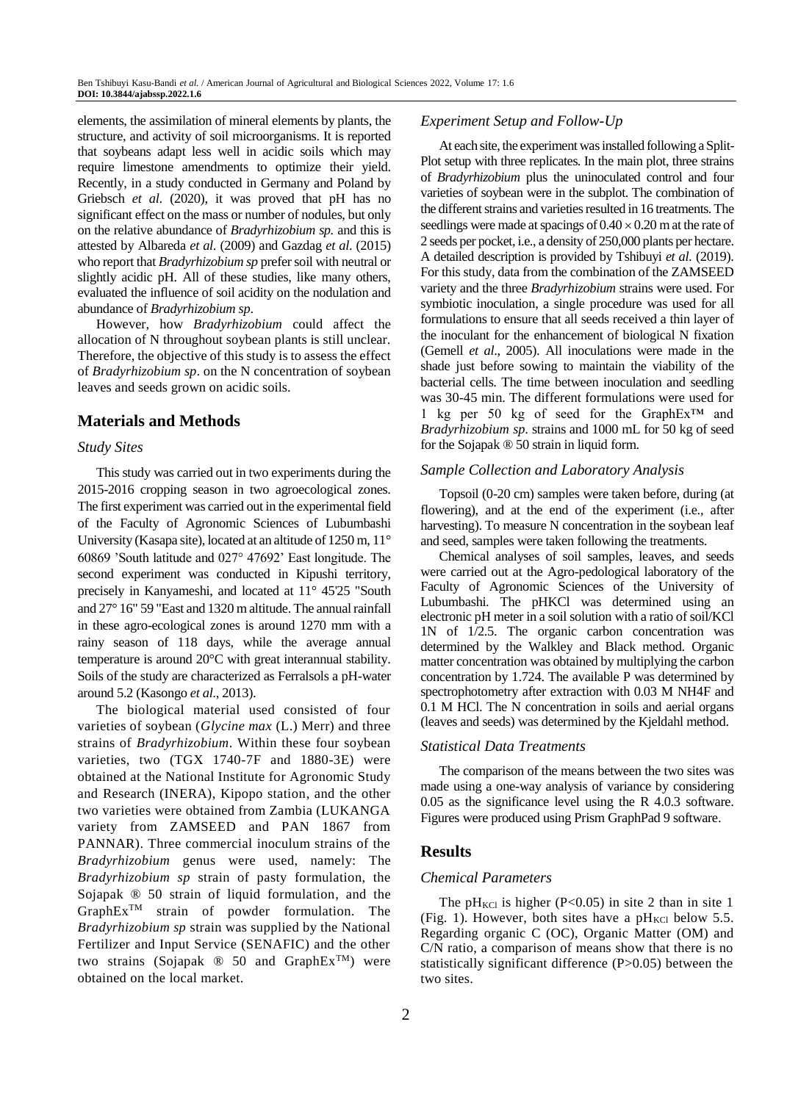elements, the assimilation of mineral elements by plants, the structure, and activity of soil microorganisms. It is reported that soybeans adapt less well in acidic soils which may require limestone amendments to optimize their yield. Recently, in a study conducted in Germany and Poland by Griebsch *et al*. (2020), it was proved that pH has no significant effect on the mass or number of nodules, but only on the relative abundance of *Bradyrhizobium sp.* and this is attested by Albareda *et al*. (2009) and Gazdag *et al*. (2015) who report that *Bradyrhizobium sp* prefer soil with neutral or slightly acidic pH. All of these studies, like many others, evaluated the influence of soil acidity on the nodulation and abundance of *Bradyrhizobium sp*.

However, how *Bradyrhizobium* could affect the allocation of N throughout soybean plants is still unclear. Therefore, the objective of this study is to assess the effect of *Bradyrhizobium sp*. on the N concentration of soybean leaves and seeds grown on acidic soils.

## **Materials and Methods**

#### *Study Sites*

This study was carried out in two experiments during the 2015-2016 cropping season in two agroecological zones. The first experiment was carried out in the experimental field of the Faculty of Agronomic Sciences of Lubumbashi University (Kasapa site), located at an altitude of 1250 m, 11° 60869 'South latitude and 027° 47692' East longitude. The second experiment was conducted in Kipushi territory, precisely in Kanyameshi, and located at 11° 45'25 "South and 27° 16" 59 "East and 1320 m altitude. The annual rainfall in these agro-ecological zones is around 1270 mm with a rainy season of 118 days, while the average annual temperature is around 20°C with great interannual stability. Soils of the study are characterized as Ferralsols a pH-water around 5.2 (Kasongo *et al*., 2013).

The biological material used consisted of four varieties of soybean (*Glycine max* (L.) Merr) and three strains of *Bradyrhizobium*. Within these four soybean varieties, two (TGX 1740-7F and 1880-3E) were obtained at the National Institute for Agronomic Study and Research (INERA), Kipopo station, and the other two varieties were obtained from Zambia (LUKANGA variety from ZAMSEED and PAN 1867 from PANNAR). Three commercial inoculum strains of the *Bradyrhizobium* genus were used, namely: The *Bradyrhizobium sp* strain of pasty formulation, the Sojapak ® 50 strain of liquid formulation, and the GraphExTM strain of powder formulation. The *Bradyrhizobium sp* strain was supplied by the National Fertilizer and Input Service (SENAFIC) and the other two strains (Sojapak  $\otimes$  50 and GraphEx<sup>TM</sup>) were obtained on the local market.

## *Experiment Setup and Follow-Up*

At each site, the experiment was installed following a Split-Plot setup with three replicates. In the main plot, three strains of *Bradyrhizobium* plus the uninoculated control and four varieties of soybean were in the subplot. The combination of the different strains and varieties resulted in 16 treatments. The seedlings were made at spacings of  $0.40 \times 0.20$  m at the rate of 2 seeds per pocket, i.e., a density of 250,000 plants per hectare. A detailed description is provided by Tshibuyi *et al*. (2019). For this study, data from the combination of the ZAMSEED variety and the three *Bradyrhizobium* strains were used. For symbiotic inoculation, a single procedure was used for all formulations to ensure that all seeds received a thin layer of the inoculant for the enhancement of biological N fixation (Gemell *et al*., 2005). All inoculations were made in the shade just before sowing to maintain the viability of the bacterial cells. The time between inoculation and seedling was 30-45 min. The different formulations were used for 1 kg per 50 kg of seed for the GraphEx™ and *Bradyrhizobium sp.* strains and 1000 mL for 50 kg of seed for the Sojapak ® 50 strain in liquid form.

#### *Sample Collection and Laboratory Analysis*

Topsoil (0-20 cm) samples were taken before, during (at flowering), and at the end of the experiment (i.e., after harvesting). To measure N concentration in the soybean leaf and seed, samples were taken following the treatments.

Chemical analyses of soil samples, leaves, and seeds were carried out at the Agro-pedological laboratory of the Faculty of Agronomic Sciences of the University of Lubumbashi. The pHKCl was determined using an electronic pH meter in a soil solution with a ratio of soil/KCl 1N of 1/2.5. The organic carbon concentration was determined by the Walkley and Black method. Organic matter concentration was obtained by multiplying the carbon concentration by 1.724. The available P was determined by spectrophotometry after extraction with 0.03 M NH4F and 0.1 M HCl. The N concentration in soils and aerial organs (leaves and seeds) was determined by the Kjeldahl method.

#### *Statistical Data Treatments*

The comparison of the means between the two sites was made using a one-way analysis of variance by considering 0.05 as the significance level using the R 4.0.3 software. Figures were produced using Prism GraphPad 9 software.

#### **Results**

#### *Chemical Parameters*

The pH<sub>KCl</sub> is higher (P<0.05) in site 2 than in site 1 (Fig. 1). However, both sites have a  $pH_{\text{KCI}}$  below 5.5. Regarding organic C (OC), Organic Matter (OM) and C/N ratio, a comparison of means show that there is no statistically significant difference (P>0.05) between the two sites.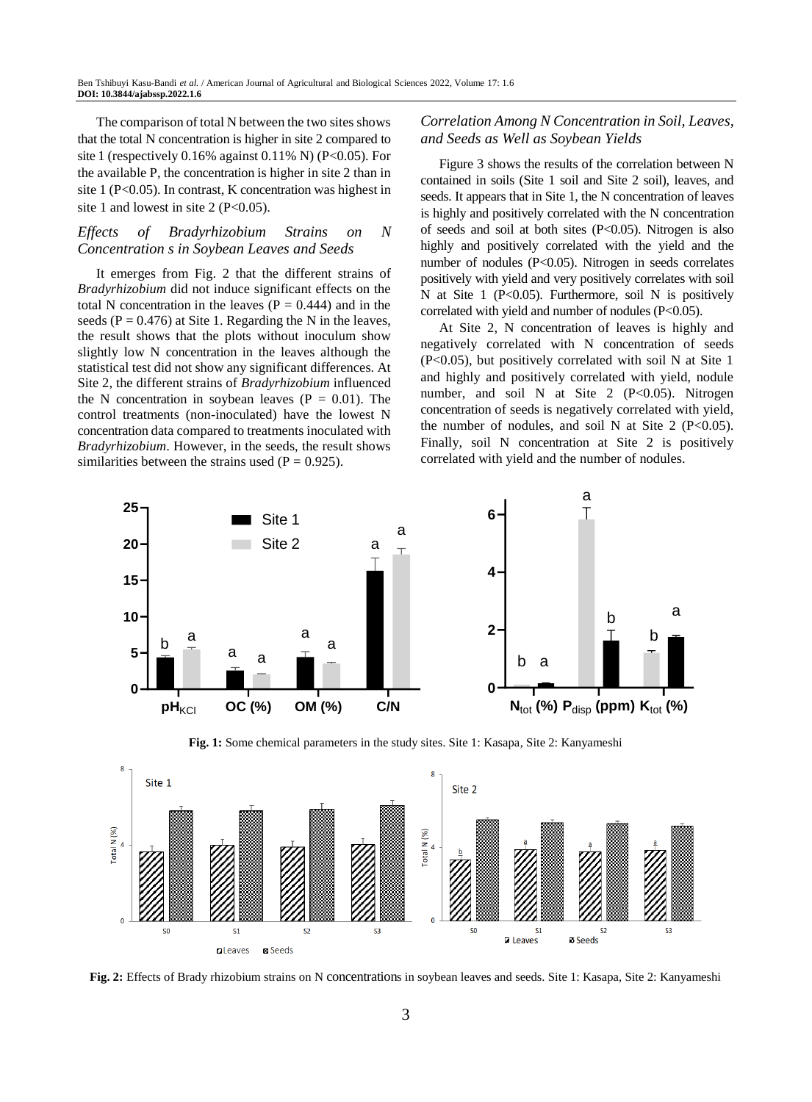The comparison of total N between the two sites shows that the total N concentration is higher in site 2 compared to site 1 (respectively  $0.16\%$  against  $0.11\%$  N) (P<0.05). For the available P, the concentration is higher in site 2 than in site 1 (P<0.05). In contrast, K concentration was highest in site 1 and lowest in site 2 ( $P<0.05$ ).

### *Effects of Bradyrhizobium Strains on N Concentration s in Soybean Leaves and Seeds*

It emerges from Fig. 2 that the different strains of *Bradyrhizobium* did not induce significant effects on the total N concentration in the leaves ( $P = 0.444$ ) and in the seeds ( $P = 0.476$ ) at Site 1. Regarding the N in the leaves, the result shows that the plots without inoculum show slightly low N concentration in the leaves although the statistical test did not show any significant differences. At Site 2, the different strains of *Bradyrhizobium* influenced the N concentration in soybean leaves ( $P = 0.01$ ). The control treatments (non-inoculated) have the lowest N concentration data compared to treatments inoculated with *Bradyrhizobium*. However, in the seeds, the result shows similarities between the strains used ( $P = 0.925$ ).

## *Correlation Among N Concentration in Soil, Leaves, and Seeds as Well as Soybean Yields*

Figure 3 shows the results of the correlation between N contained in soils (Site 1 soil and Site 2 soil), leaves, and seeds. It appears that in Site 1, the N concentration of leaves is highly and positively correlated with the N concentration of seeds and soil at both sites  $(P<0.05)$ . Nitrogen is also highly and positively correlated with the yield and the number of nodules (P<0.05). Nitrogen in seeds correlates positively with yield and very positively correlates with soil N at Site 1 (P<0.05). Furthermore, soil N is positively correlated with yield and number of nodules (P<0.05).

At Site 2, N concentration of leaves is highly and negatively correlated with N concentration of seeds (P<0.05), but positively correlated with soil N at Site 1 and highly and positively correlated with yield, nodule number, and soil N at Site 2  $(P<0.05)$ . Nitrogen concentration of seeds is negatively correlated with yield, the number of nodules, and soil N at Site 2 ( $P<0.05$ ). Finally, soil N concentration at Site 2 is positively correlated with yield and the number of nodules.



**Fig. 1:** Some chemical parameters in the study sites. Site 1: Kasapa, Site 2: Kanyameshi



**Fig. 2:** Effects of Brady rhizobium strains on N concentrations in soybean leaves and seeds. Site 1: Kasapa, Site 2: Kanyameshi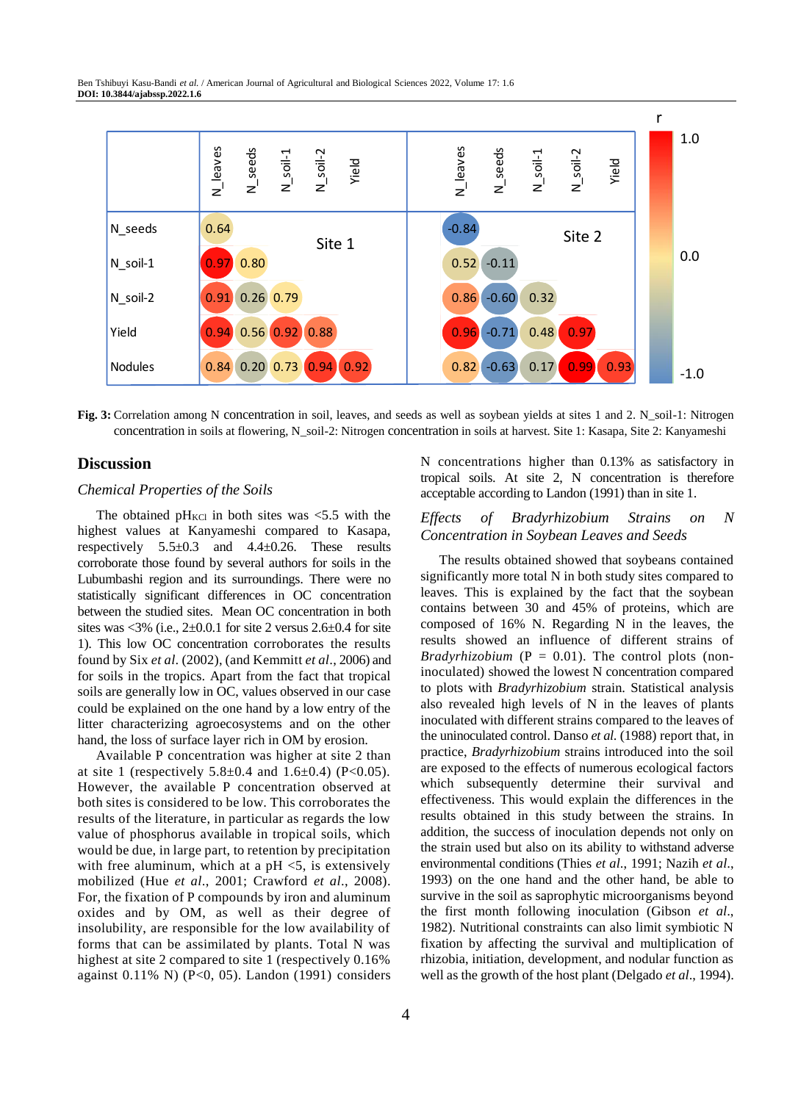

**Fig. 3:** Correlation among N concentration in soil, leaves, and seeds as well as soybean yields at sites 1 and 2. N\_soil-1: Nitrogen concentration in soils at flowering, N\_soil-2: Nitrogen concentration in soils at harvest. Site 1: Kasapa, Site 2: Kanyameshi

## **Discussion**

## *Chemical Properties of the Soils*

The obtained  $pH_{\text{KCl}}$  in both sites was <5.5 with the highest values at Kanyameshi compared to Kasapa, respectively  $5.5\pm0.3$  and  $4.4\pm0.26$ . These results corroborate those found by several authors for soils in the Lubumbashi region and its surroundings. There were no statistically significant differences in OC concentration between the studied sites. Mean OC concentration in both sites was  $\langle 3\%$  (i.e., 2+0.0.1 for site 2 versus 2.6+0.4 for site 1). This low OC concentration corroborates the results found by Six *et al*. (2002), (and Kemmitt *et al*., 2006) and for soils in the tropics. Apart from the fact that tropical soils are generally low in OC, values observed in our case could be explained on the one hand by a low entry of the litter characterizing agroecosystems and on the other hand, the loss of surface layer rich in OM by erosion.

Available P concentration was higher at site 2 than at site 1 (respectively  $5.8 \pm 0.4$  and  $1.6 \pm 0.4$ ) (P<0.05). However, the available P concentration observed at both sites is considered to be low. This corroborates the results of the literature, in particular as regards the low value of phosphorus available in tropical soils, which would be due, in large part, to retention by precipitation with free aluminum, which at a  $pH \leq 5$ , is extensively mobilized (Hue *et al*., 2001; Crawford *et al*., 2008). For, the fixation of P compounds by iron and aluminum oxides and by OM, as well as their degree of insolubility, are responsible for the low availability of forms that can be assimilated by plants. Total N was highest at site 2 compared to site 1 (respectively 0.16% against 0.11% N) (P<0, 05). Landon (1991) considers N concentrations higher than 0.13% as satisfactory in tropical soils. At site 2, N concentration is therefore acceptable according to Landon (1991) than in site 1.

#### *Effects of Bradyrhizobium Strains on N Concentration in Soybean Leaves and Seeds*

The results obtained showed that soybeans contained significantly more total N in both study sites compared to leaves. This is explained by the fact that the soybean contains between 30 and 45% of proteins, which are composed of 16% N. Regarding N in the leaves, the results showed an influence of different strains of *Bradyrhizobium* ( $P = 0.01$ ). The control plots (noninoculated) showed the lowest N concentration compared to plots with *Bradyrhizobium* strain. Statistical analysis also revealed high levels of N in the leaves of plants inoculated with different strains compared to the leaves of the uninoculated control. Danso *et al*. (1988) report that, in practice, *Bradyrhizobium* strains introduced into the soil are exposed to the effects of numerous ecological factors which subsequently determine their survival and effectiveness. This would explain the differences in the results obtained in this study between the strains. In addition, the success of inoculation depends not only on the strain used but also on its ability to withstand adverse environmental conditions (Thies *et al*., 1991; Nazih *et al*., 1993) on the one hand and the other hand, be able to survive in the soil as saprophytic microorganisms beyond the first month following inoculation (Gibson *et al*., 1982). Nutritional constraints can also limit symbiotic N fixation by affecting the survival and multiplication of rhizobia, initiation, development, and nodular function as well as the growth of the host plant (Delgado *et al*., 1994).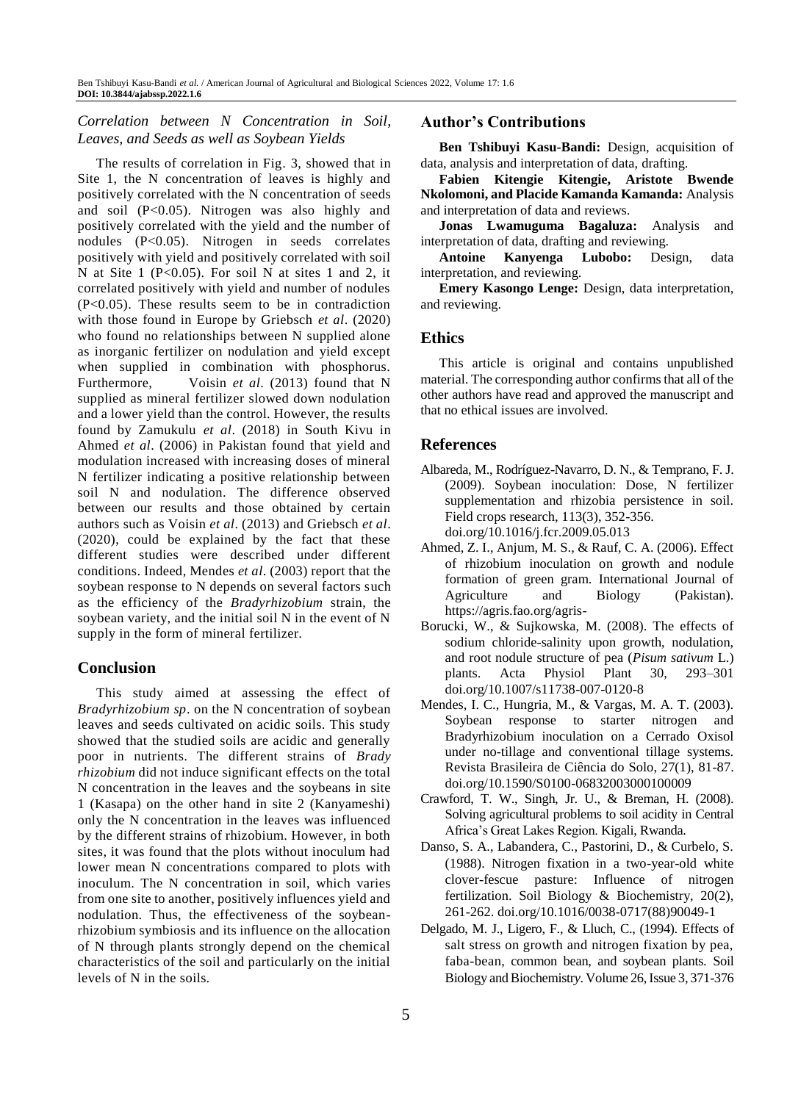## *Correlation between N Concentration in Soil, Leaves, and Seeds as well as Soybean Yields*

The results of correlation in Fig. 3, showed that in Site 1, the N concentration of leaves is highly and positively correlated with the N concentration of seeds and soil (P<0.05). Nitrogen was also highly and positively correlated with the yield and the number of nodules (P<0.05). Nitrogen in seeds correlates positively with yield and positively correlated with soil N at Site 1 (P<0.05). For soil N at sites 1 and 2, it correlated positively with yield and number of nodules (P<0.05). These results seem to be in contradiction with those found in Europe by Griebsch *et al*. (2020) who found no relationships between N supplied alone as inorganic fertilizer on nodulation and yield except when supplied in combination with phosphorus. Furthermore, Voisin *et al*. (2013) found that N supplied as mineral fertilizer slowed down nodulation and a lower yield than the control. However, the results found by Zamukulu *et al*. (2018) in South Kivu in Ahmed *et al*. (2006) in Pakistan found that yield and modulation increased with increasing doses of mineral N fertilizer indicating a positive relationship between soil N and nodulation. The difference observed between our results and those obtained by certain authors such as Voisin *et al*. (2013) and Griebsch *et al*. (2020), could be explained by the fact that these different studies were described under different conditions. Indeed, Mendes *et al*. (2003) report that the soybean response to N depends on several factors such as the efficiency of the *Bradyrhizobium* strain, the soybean variety, and the initial soil N in the event of N supply in the form of mineral fertilizer.

# **Conclusion**

This study aimed at assessing the effect of *Bradyrhizobium sp*. on the N concentration of soybean leaves and seeds cultivated on acidic soils. This study showed that the studied soils are acidic and generally poor in nutrients. The different strains of *Brady rhizobium* did not induce significant effects on the total N concentration in the leaves and the soybeans in site 1 (Kasapa) on the other hand in site 2 (Kanyameshi) only the N concentration in the leaves was influenced by the different strains of rhizobium. However, in both sites, it was found that the plots without inoculum had lower mean N concentrations compared to plots with inoculum. The N concentration in soil, which varies from one site to another, positively influences yield and nodulation. Thus, the effectiveness of the soybeanrhizobium symbiosis and its influence on the allocation of N through plants strongly depend on the chemical characteristics of the soil and particularly on the initial levels of N in the soils.

#### **Author's Contributions**

Ben Tshibuyi Kasu-Bandi: Design, acquisition of data, analysis and interpretation of data, drafting.

**Fabien Kitengie Kitengie, Aristote Bwende Nkolomoni, and Placide Kamanda Kamanda:** Analysis and interpretation of data and reviews.

**Jonas Lwamuguma Bagaluza:** Analysis and interpretation of data, drafting and reviewing.

**Antoine Kanyenga Lubobo:** Design, data interpretation, and reviewing.

**Emery Kasongo Lenge:** Design, data interpretation, and reviewing.

## **Ethics**

This article is original and contains unpublished material. The corresponding author confirms that all of the other authors have read and approved the manuscript and that no ethical issues are involved.

## **References**

- Albareda, M., Rodríguez-Navarro, D. N., & Temprano, F. J. (2009). Soybean inoculation: Dose, N fertilizer supplementation and rhizobia persistence in soil. Field crops research, 113(3), 352-356. doi.org/10.1016/j.fcr.2009.05.013
- Ahmed, Z. I., Anjum, M. S., & Rauf, C. A. (2006). Effect of rhizobium inoculation on growth and nodule formation of green gram. International Journal of Agriculture and Biology (Pakistan). <https://agris.fao.org/agris->
- Borucki, W., & Sujkowska, M. (2008). The effects of sodium chloride-salinity upon growth, nodulation, and root nodule structure of pea (*Pisum sativum* L.) plants. Acta Physiol Plant 30, 293–301 doi.org/10.1007/s11738-007-0120-8
- Mendes, I. C., Hungria, M., & Vargas, M. A. T. (2003). Soybean response to starter nitrogen and Bradyrhizobium inoculation on a Cerrado Oxisol under no-tillage and conventional tillage systems. Revista Brasileira de Ciência do Solo, 27(1), 81-87. doi.org/10.1590/S0100-06832003000100009
- Crawford, T. W., Singh, Jr. U., & Breman, H. (2008). Solving agricultural problems to soil acidity in Central Africa's Great Lakes Region. Kigali, Rwanda.
- Danso, S. A., Labandera, C., Pastorini, D., & Curbelo, S. (1988). Nitrogen fixation in a two-year-old white clover-fescue pasture: Influence of nitrogen fertilization. Soil Biology & Biochemistry, 20(2), 261-262. doi.org/10.1016/0038-0717(88)90049-1
- Delgado, M. J., Ligero, F., & Lluch, C., (1994). Effects of salt stress on growth and nitrogen fixation by pea, faba-bean, common bean, and soybean plants. Soil Biology and Biochemistr*y*. Volume 26, Issue 3, 371-376